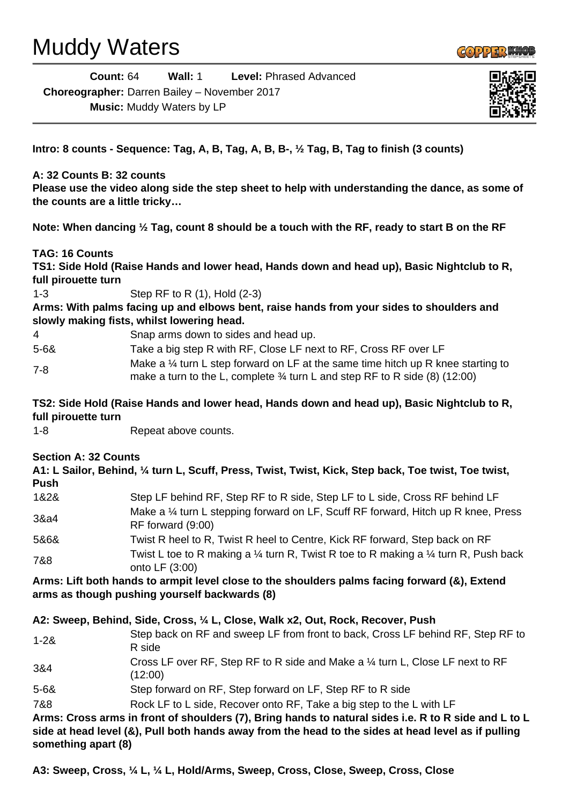# Muddy Waters



| Count: $64$                                         | Wall: 1 | <b>Level: Phrased Advanced</b> |
|-----------------------------------------------------|---------|--------------------------------|
| <b>Choreographer:</b> Darren Bailey – November 2017 |         |                                |

**Music:** Muddy Waters by LP



**Intro: 8 counts - Sequence: Tag, A, B, Tag, A, B, B-, ½ Tag, B, Tag to finish (3 counts)**

#### **A: 32 Counts B: 32 counts**

**Please use the video along side the step sheet to help with understanding the dance, as some of the counts are a little tricky…**

**Note: When dancing ½ Tag, count 8 should be a touch with the RF, ready to start B on the RF**

### **TAG: 16 Counts**

**TS1: Side Hold (Raise Hands and lower head, Hands down and head up), Basic Nightclub to R, full pirouette turn**

1-3 Step RF to R (1), Hold (2-3)

**Arms: With palms facing up and elbows bent, raise hands from your sides to shoulders and slowly making fists, whilst lowering head.**

4 Snap arms down to sides and head up.

5-6& Take a big step R with RF, Close LF next to RF, Cross RF over LF 7-8 Make a ¼ turn L step forward on LF at the same time hitch up R knee starting to make a turn to the L, complete  $\frac{3}{4}$  turn L and step RF to R side (8) (12:00)

**TS2: Side Hold (Raise Hands and lower head, Hands down and head up), Basic Nightclub to R, full pirouette turn**

1-8 Repeat above counts.

#### **Section A: 32 Counts**

**A1: L Sailor, Behind, ¼ turn L, Scuff, Press, Twist, Twist, Kick, Step back, Toe twist, Toe twist, Push**

| 1&2& | Step LF behind RF, Step RF to R side, Step LF to L side, Cross RF behind LF                                                 |
|------|-----------------------------------------------------------------------------------------------------------------------------|
| 3&a4 | Make a 1/4 turn L stepping forward on LF, Scuff RF forward, Hitch up R knee, Press<br>RF forward (9:00)                     |
| 5&6& | Twist R heel to R, Twist R heel to Centre, Kick RF forward, Step back on RF                                                 |
| 7&8  | Twist L toe to R making a $\frac{1}{4}$ turn R, Twist R toe to R making a $\frac{1}{4}$ turn R, Push back<br>2.421 F (2.00) |

onto LF (3:00)

**Arms: Lift both hands to armpit level close to the shoulders palms facing forward (&), Extend arms as though pushing yourself backwards (8)**

#### **A2: Sweep, Behind, Side, Cross, ¼ L, Close, Walk x2, Out, Rock, Recover, Push**

- 1-2& Step back on RF and sweep LF from front to back, Cross LF behind RF, Step RF to R side 3&4 Cross LF over RF, Step RF to R side and Make a ¼ turn L, Close LF next to RF (12:00) 5-6& Step forward on RF, Step forward on LF, Step RF to R side
- 7&8 Rock LF to L side, Recover onto RF, Take a big step to the L with LF

**Arms: Cross arms in front of shoulders (7), Bring hands to natural sides i.e. R to R side and L to L side at head level (&), Pull both hands away from the head to the sides at head level as if pulling something apart (8)**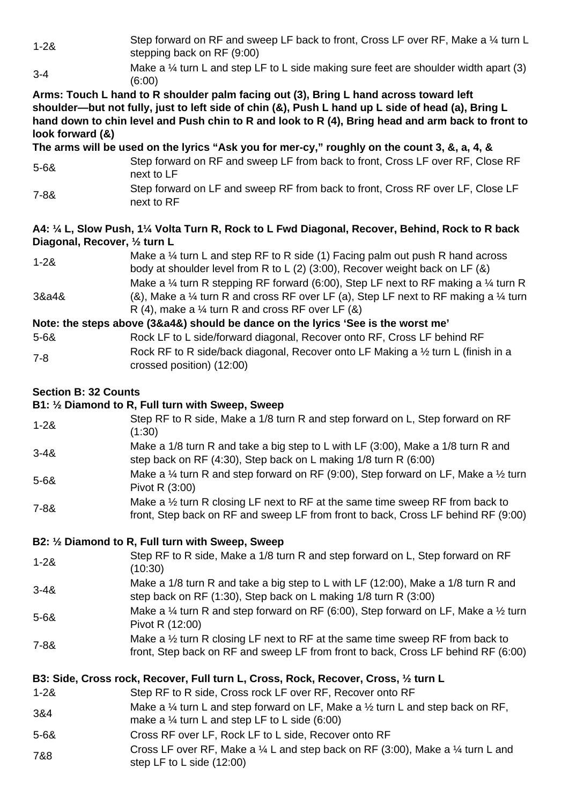1-2& Step forward on RF and sweep LF back to front, Cross LF over RF, Make a 1/4 turn L stepping back on RF (9:00)

3-4 Make a 1/4 turn L and step LF to L side making sure feet are shoulder width apart (3) (6:00)

**Arms: Touch L hand to R shoulder palm facing out (3), Bring L hand across toward left shoulder—but not fully, just to left side of chin (&), Push L hand up L side of head (a), Bring L hand down to chin level and Push chin to R and look to R (4), Bring head and arm back to front to look forward (&)**

**The arms will be used on the lyrics "Ask you for mer-cy," roughly on the count 3, &, a, 4, &**

- 5-6& Step forward on RF and sweep LF from back to front, Cross LF over RF, Close RF next to LF
- 7-8& Step forward on LF and sweep RF from back to front, Cross RF over LF, Close LF next to RF

### **A4: ¼ L, Slow Push, 1¼ Volta Turn R, Rock to L Fwd Diagonal, Recover, Behind, Rock to R back Diagonal, Recover, ½ turn L**

1-2& Make a ¼ turn L and step RF to R side (1) Facing palm out push R hand across body at shoulder level from R to L (2) (3:00), Recover weight back on LF (&) 3&a4& Make a  $\frac{1}{4}$  turn R stepping RF forward (6:00), Step LF next to RF making a  $\frac{1}{4}$  turn R (&), Make a  $\frac{1}{4}$  turn R and cross RF over LF (a), Step LF next to RF making a  $\frac{1}{4}$  turn R  $(4)$ , make a  $\frac{1}{4}$  turn R and cross RF over LF  $(8)$ 

### **Note: the steps above (3&a4&) should be dance on the lyrics 'See is the worst me'**

5-6& Rock LF to L side/forward diagonal, Recover onto RF, Cross LF behind RF 7-8 Rock RF to R side/back diagonal, Recover onto LF Making a ½ turn L (finish in a crossed position) (12:00)

## **Section B: 32 Counts**

# **B1: ½ Diamond to R, Full turn with Sweep, Sweep**

- 1-2& Step RF to R side, Make a 1/8 turn R and step forward on L, Step forward on RF (1:30) 3-4& Make a 1/8 turn R and take a big step to L with LF (3:00), Make a 1/8 turn R and step back on RF (4:30), Step back on L making 1/8 turn R (6:00) 5-6& Make a ¼ turn R and step forward on RF (9:00), Step forward on LF, Make a ½ turn Pivot R (3:00)
- 7-8& Make a <sup>1/2</sup> turn R closing LF next to RF at the same time sweep RF from back to front, Step back on RF and sweep LF from front to back, Cross LF behind RF (9:00)

### **B2: ½ Diamond to R, Full turn with Sweep, Sweep**

- 1-2& Step RF to R side, Make a 1/8 turn R and step forward on L, Step forward on RF (10:30)
- 3-4& Make a 1/8 turn R and take a big step to L with LF (12:00), Make a 1/8 turn R and step back on RF (1:30), Step back on L making 1/8 turn R (3:00)
- 5-6& Make a ¼ turn R and step forward on RF (6:00), Step forward on LF, Make a ½ turn Pivot R (12:00)
- 7-8& Make a 1/2 turn R closing LF next to RF at the same time sweep RF from back to front, Step back on RF and sweep LF from front to back, Cross LF behind RF (6:00)

# **B3: Side, Cross rock, Recover, Full turn L, Cross, Rock, Recover, Cross, ½ turn L**

- 1-2& Step RF to R side, Cross rock LF over RF, Recover onto RF
- 3&4 Make a ¼ turn L and step forward on LF, Make a ½ turn L and step back on RF,
- make a ¼ turn L and step LF to L side (6:00)
- 5-6& Cross RF over LF, Rock LF to L side, Recover onto RF
- 7&8 Cross LF over RF, Make a ¼ L and step back on RF (3:00), Make a ¼ turn L and step LF to L side (12:00)